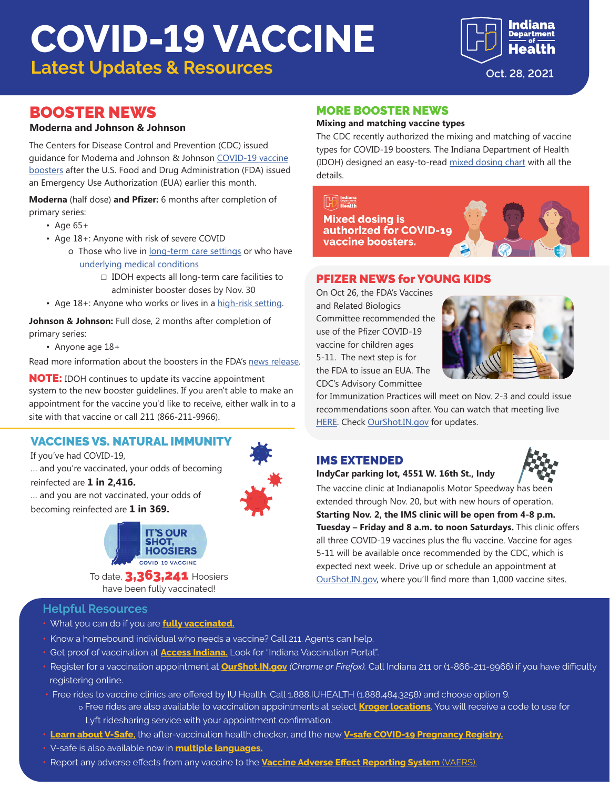# **COVID-19 VACCINE**

**Latest Updates & Resources Calculated Article 28, 2021** 



## BOOSTER NEWS

#### **Moderna and Johnson & Johnson**

The Centers for Disease Control and Prevention (CDC) issued guidance for Moderna and Johnson & Johnson [COVID-19 vaccine](https://www.cdc.gov/media/releases/2021/p1021-covid-booster.html)  [boosters](https://www.cdc.gov/media/releases/2021/p1021-covid-booster.html) after the U.S. Food and Drug Administration (FDA) issued an Emergency Use Authorization (EUA) earlier this month.

**Moderna** (half dose) **and Pfizer:** 6 months after completion of primary series:

- Age 65+
- Age 18+: Anyone with risk of severe COVID
	- o Those who live in [long-term care settings](https://www.cdc.gov/coronavirus/2019-ncov/vaccines/booster-shot.html#long-term-care) or who have [underlying medical conditions](https://www.cdc.gov/coronavirus/2019-ncov/need-extra-precautions/people-with-medical-conditions.html)
		- $\Box$  IDOH expects all long-term care facilities to administer booster doses by Nov. 30
- Age 18+: Anyone who works or lives in a [high-risk setting](https://www.cdc.gov/coronavirus/2019-ncov/vaccines/booster-shot.html#HighRisk).

**Johnson & Johnson:** Full dose, 2 months after completion of primary series:

• Anyone age 18+

Read more information about the boosters in the FDA's [news release.](https://www.fda.gov/news-events/press-announcements/coronavirus-covid-19-update-fda-takes-additional-actions-use-booster-dose-covid-19-vaccines)

NOTE: IDOH continues to update its vaccine appointment system to the new booster guidelines. If you aren't able to make an appointment for the vaccine you'd like to receive, either walk in to a site with that vaccine or call 211 (866-211-9966).

### VACCINES VS. NATURAL IMMUNITY

If you've had COVID-19,

… and you're vaccinated, your odds of becoming reinfected are **1 in 2,416.**

… and you are not vaccinated, your odds of becoming reinfected are **1 in 369.**



To date, **3,363,241** Hoosiers have been fully vaccinated!

#### **Helpful Resources**

- **•** What you can do if you are **[fully vaccinated.](https://www.coronavirus.in.gov/files/21_IN%20Vaccine%20effectiveness_8-9.pdf)**
- **•** Know a homebound individual who needs a vaccine? Call 211. Agents can help.
- **•** Get proof of vaccination at **[Access Indiana.](https://www.in.gov/access/available-services.html)** Look for "Indiana Vaccination Portal".
- **•** Register for a vaccination appointment at **[OurShot.IN.gov](http://OurShot.IN.gov)** *(Chrome or Firefox).* Call Indiana 211 or (1-866-211-9966) if you have difficulty registering online.
- **•** Free rides to vaccine clinics are offered by IU Health. Call 1.888.IUHEALTH (1.888.484.3258) and choose option 9. o Free rides are also available to vaccination appointments at select **[Kroger locations](https://www.kroger.com/rx/guest/get-vaccinated)**. You will receive a code to use for Lyft ridesharing service with your appointment confirmation.
- **• [Learn about V-Safe,](https://www.cdc.gov/coronavirus/2019-ncov/vaccines/safety/vsafe.html)** the after-vaccination health checker, and the new **[V-safe COVID-19 Pregnancy Registry.](https://www.cdc.gov/coronavirus/2019-ncov/vaccines/safety/vsafepregnancyregistry.html)**
- **•** V-safe is also available now in **[multiple languages.](https://vsafe.cdc.gov/en/)**
- **•** Report any adverse effects from any vaccine to the **[Vaccine Adverse Effect Reporting System](https://vaers.hhs.gov/)** (VAERS).

#### MORE BOOSTER NEWS

#### **Mixing and matching vaccine types**

The CDC recently authorized the mixing and matching of vaccine types for COVID-19 boosters. The Indiana Department of Health (IDOH) designed an easy-to-read [mixed dosing chart](https://www.coronavirus.in.gov/files/21_Booster-mix-match.pdf) with all the details.

 $\begin{bmatrix} 1 & 1 \\ 1 & 1 \end{bmatrix}$   $\begin{bmatrix} \text{indiana} \\ \text{Spectrum} \\ \text{Hearth} \end{bmatrix}$ **Mixed dosing is** authorized for COVID-19 vaccine boosters.



#### PFIZER NEWS for YOUNG KIDS

On Oct 26, the FDA's Vaccines and Related Biologics Committee recommended the use of the Pfizer COVID-19 vaccine for children ages 5-11. The next step is for the FDA to issue an EUA. The CDC's Advisory Committee



for Immunization Practices will meet on Nov. 2-3 and could issue recommendations soon after. You can watch that meeting live [HERE](https://video.ibm.com/channel/VWBXKBR8af4). Check [OurShot.IN.gov](http://OurShot.IN.gov) for updates.

## IMS EXTENDED



## **IndyCar parking lot, 4551 W. 16th St., Indy**

The vaccine clinic at Indianapolis Motor Speedway has been extended through Nov. 20, but with new hours of operation. **Starting Nov. 2, the IMS clinic will be open from 4-8 p.m. Tuesday – Friday and 8 a.m. to noon Saturdays.** This clinic offers all three COVID-19 vaccines plus the flu vaccine. Vaccine for ages 5-11 will be available once recommended by the CDC, which is expected next week. Drive up or schedule an appointment at [OurShot.IN.gov](http://OurShot.IN.gov), where you'll find more than 1,000 vaccine sites.